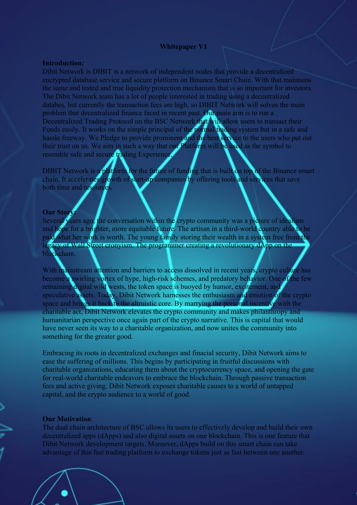#### **Whitepaper V1**

# **Introduction:**

Dibit Network is DIBIT is a network of independent nodes that provide a decentralized encrypted database service and secure platform on Binance Smart Chain. With that maintains the same and tested and true liquidity protection mechanism that is so important for investors. The Dibit Network team has a lot of people interested in trading using a decentralized databes, but currently the transaction fees are high, so DIBIT Network will solves the main problem that decentralized finance faced in recent past. Our main aim is to run a Decentralized Trading Protocol on the BSC Network that will allow users to transact their Funds easily. It works on the simple principal of the normal trading system but in a safe and hassle freeway. We Pledge to provide prominent and the best service to the users who put out their trust on us. We aim in such a way that our Platform will be used as the symbol to resemble safe and secure trading Experience.

DIBIT Network is a platform for the future of funding that is built on top of the Binance smart chain. It accelerates growth of start-up companies by offering tools and services that save both time and resources.

# **Our Story:**

Several years ago, the conversation within the crypto community was a picture of idealism and hope for a brighter, more equitable future. The artisan in a third-world country able to be paid what her work is worth. The young family storing their wealth in a system free from the legacy of Wall Street cronyism. The programmer creating a revolutionary dApp on the blockchain.

With mainstream attention and barriers to access dissolved in recent years, crypto culture has become a swirling vortex of hype, high-risk schemes, and predatory behavior. One of the few remaining digital wild wests, the token space is buoyed by humor, excitement, and speculative assets. Today, Dibit Network harnesses the enthusiasm and emotion of the crypto space and brings it back to the altruistic core. By marrying the personal incentive with the charitable act, Dibit Network elevates the crypto community and makes philanthropy and humanitarian perspective once again part of the crypto narrative. This is capital that would have never seen its way to a charitable organization, and now unites the community into something for the greater good.

Embracing its roots in decentralized exchanges and finacial security, Dibit Network aims to ease the suffering of millions. This begins by participating in fruitful discussions with charitable organizations, educating them about the cryptocurrency space, and opening the gate for real-world charitable endeavors to embrace the blockchain. Through passive transaction fees and active giving, Dibit Network exposes charitable causes to a world of untapped capital, and the crypto audience to a world of good.

### **Our Motivation**:

The dual chain architecture of BSC allows its users to effectively develop and build their own decentralized apps (dApps) and also digital assets on one blockchain. This is one feature that Dibit Network development targets. Moreover, dApps build on this smart chain can take advantage of this fast trading platform to exchange tokens just as fast between one another.

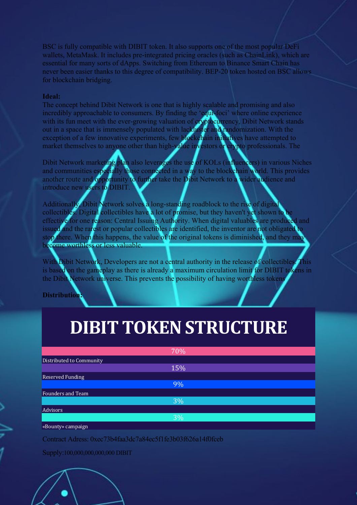BSC is fully compatible with DIBIT token. It also supports one of the most popular DeFi wallets, MetaMask. It includes pre-integrated pricing oracles (such as ChainLink), which are essential for many sorts of dApps. Switching from Ethereum to Binance Smart Chain has never been easier thanks to this degree of compatibility. BEP-20 token hosted on BSC allows for blockchain bridging.

# **Ideal:**

The concept behind Dibit Network is one that is highly scalable and promising and also incredibly approachable to consumers. By finding the 'equi-foci' where online experience with its fun meet with the ever-growing valuation of cryptocurrency, Dibit Network stands out in a space that is immensely populated with lackluster and randomization. With the exception of a few innovative experiments, few blockchain initiatives have attempted to market themselves to anyone other than high-value investors or crypto professionals. The

Dibit Network marketing plan also leverages the use of KOLs (influencers) in various Niches and communities especially those connected in a way to the blockchain world. This provides another route and opportunity to further take the Dibit Network to a wider audience and introduce new users to DIBIT.

Additionally, Dibit Network solves a long-standing roadblock to the rise of digital collectibles. Digital collectibles have a lot of promise, but they haven't yet shown to b effective for one reason: Central Issuing Authority. When digital valuables are produced and issued and the rarest or popular collectibles are identified, the inventor are not obligated to stop there. When this happens, the value of the original tokens is diminished, and they may become worthless or less valuable.

With Dibit Network, Developers are not a central authority in the release of collectibles. This is based on the gameplay as there is already a maximum circulation limit for DIBIT tokens in the Dibit Network universe. This prevents the possibility of having worthless tokens

**Distribution:**

# **DIBIT TOKEN STRUCTURE**

|                          | 70% |
|--------------------------|-----|
| Distributed to Community |     |
|                          | 15% |
| <b>Reserved Funding</b>  |     |
|                          | 9%  |
| Founders and Team        |     |
|                          | 3%  |
| Advisors                 |     |
|                          | 3%  |
| «Bounty» campaign        |     |

Contract Adress: 0xec73b4faa3dc7a84ec5f1fe3b03f626a14f0fceb

Supply:100,000,000,000,000 DIBIT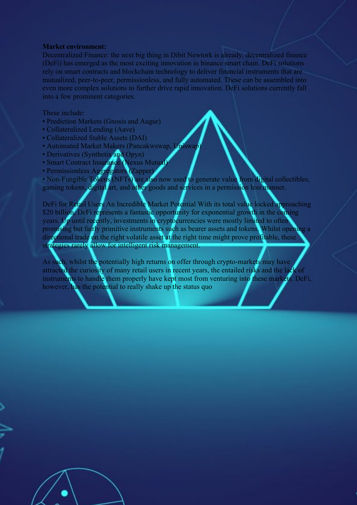#### **Market environment:**

Decentralized Finance: the next big thing in Dibit Newtork is already, decentralized finance (DeFi) has emerged as the most exciting innovation in binance smart chain. DeFi solutions rely on smart contracts and blockchain technology to deliver financial instruments that are mutualized, peer-to-peer, permissionless, and fully automated. These can be assembled into even more complex solutions to further drive rapid innovation. DeFi solutions currently fall into a few prominent categories.

#### These include:

- Prediction Markets (Gnosis and Augur)
- Collateralized Lending (Aave)
- Collateralized Stable Assets (DAI)
- Automated Market Makers (Pancakwswap, Uniswap)
- Derivatives (Synthetix and Opyn)
- Smart Contract Insurance (Nexus Mutual)
- Permissionless Aggregators (Zapper)

• Non-Fungible Tokens (NFTs) are also now used to generate value from digital collectibles, gaming tokens, digital art, and other goods and services in a permission less manner.

DeFi for Retail Users An Incredible Market Potential With its total value locked approaching \$20 billion, DeFi represents a fantastic opportunity for exponential growth in the coming years. Up until recently, investments in cryptocurrencies were mostly limited to often promising but fairly primitive instruments such as bearer assets and tokens. Whilst opening a directional trade on the right volatile asset at the right time might prove profitable, these strategies rarely allow for intelligent risk management.

As such, whilst the potentially high returns on offer through crypto-markets may have attracted the curiosity of many retail users in recent years, the entailed risks and the lack of instruments to handle them properly have kept most from venturing into these markets. DeFi, however, has the potential to really shake up the status quo